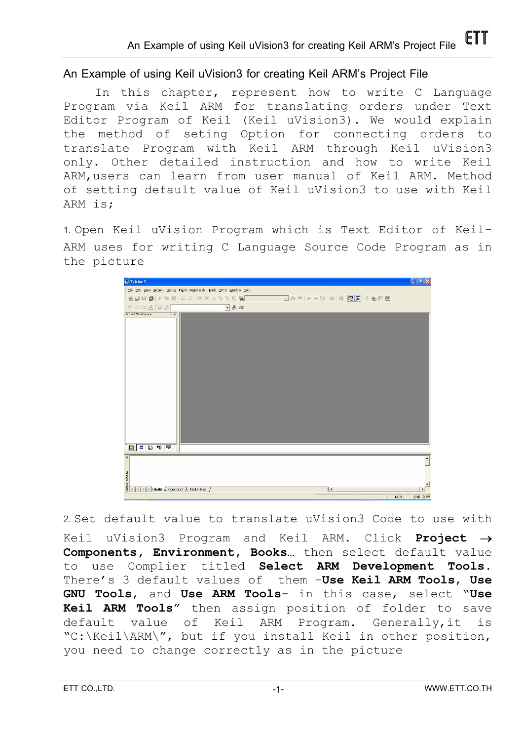**An Example of using Keil uVision3 for creating Keil ARM's Project File** 

In this chapter, represent how to write C Language Program via Keil ARM for translating orders under Text Editor Program of Keil (Keil uVision3). We would explain the method of seting Option for connecting orders to translate Program with Keil ARM through Keil uVision3 only. Other detailed instruction and how to write Keil ARM,users can learn from user manual of Keil ARM. Method of setting default value of Keil uVision3 to use with Keil ARM is;

1. Open Keil uVision Program which is Text Editor of Keil-ARM uses for writing C Language Source Code Program as in the picture



2. Set default value to translate uVision3 Code to use with Keil uVision3 Program and Keil ARM. Click **Project** → **Components, Environment, Books…** then select default value to use Complier titled **Select ARM Development Tools.** There's 3 default values of them –**Use Keil ARM Tools**, **Use GNU Tools**, and **Use ARM Tools**- in this case, select "**Use Keil ARM Tools**" then assign position of folder to save default value of Keil ARM Program. Generally,it is "C:\Keil\ARM\", but if you install Keil in other position, you need to change correctly as in the picture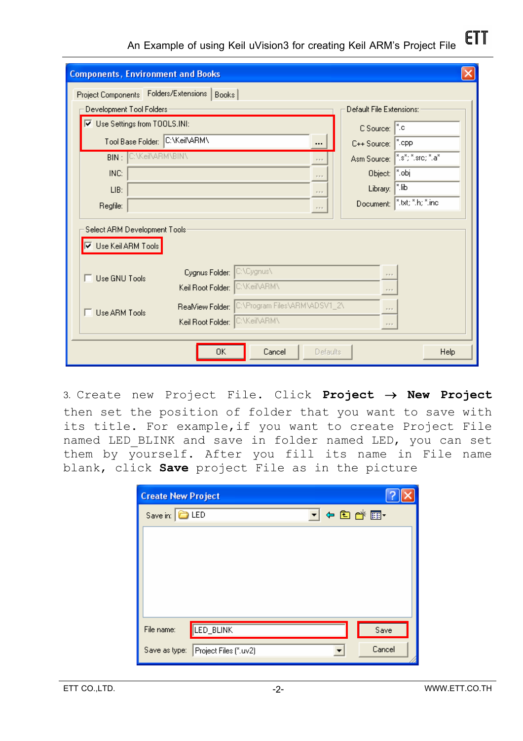**ETT An Example of using Keil uVision3 for creating Keil ARM's Project File** 

| <b>Components, Environment and Books</b>                                     |                             |                             |                                 |
|------------------------------------------------------------------------------|-----------------------------|-----------------------------|---------------------------------|
| Project Components Folders/Extensions<br>Books                               |                             |                             |                                 |
| Development Tool Folders:                                                    |                             | Default File Extensions:    |                                 |
| Ⅳ Use Settings from TOOLS.INI:                                               |                             | C Source: <sup>8</sup> .c   |                                 |
| Tool Base Folder: C:\Keil\ARM\                                               | $\cdots$                    | C++ Source:                 | ∣*.cpp                          |
| <b>BIN: C:\Keil\ARM\BIN\</b>                                                 | 1111                        |                             | Asm Source:   ".s"; ".src; ".a" |
| INC:                                                                         | $\alpha \rightarrow \infty$ | Object:   ".obj             |                                 |
| LIB:                                                                         | $\alpha \equiv \alpha$      | Library:                    | ¦*.lib                          |
| Regfile:                                                                     | $\alpha \approx \alpha$     |                             | Document:   ".txt; ".h; ".inc   |
| Select ARM Development Tools:<br><b>▽</b> Use Keil ARM Tools                 |                             |                             |                                 |
| C:\Cygnus\<br>Cygnus Folder:<br>Use GNU Tools                                |                             | 2.2.2                       |                                 |
| Keil Root Folder: C:\Keil\ARM\                                               |                             | $\alpha \rightarrow \alpha$ |                                 |
| C:\Program Files\ARM\ADSV1_2\<br>ReaMiew Folder:<br>$x = x$<br>Use ARM Tools |                             |                             |                                 |
| Keil Root Folder: C:\Keil\ARM\<br>$\alpha \rightarrow \alpha$                |                             |                             |                                 |
| OΚ<br>Cancel<br>Help<br><b>Defaults</b>                                      |                             |                             |                                 |

3. Create new Project File. Click **Project** → **New Project** then set the position of folder that you want to save with its title. For example,if you want to create Project File named LED BLINK and save in folder named LED, you can set them by yourself. After you fill its name in File name blank, click **Save** project File as in the picture

| <b>Create New Project</b>           |            |
|-------------------------------------|------------|
| Save in: C LED                      | ▼ ← © o* ► |
|                                     |            |
|                                     |            |
|                                     |            |
|                                     |            |
|                                     |            |
| LED_BLINK<br>File name:             | Save       |
| Save as type: Project Files (".uv2) | Cancel     |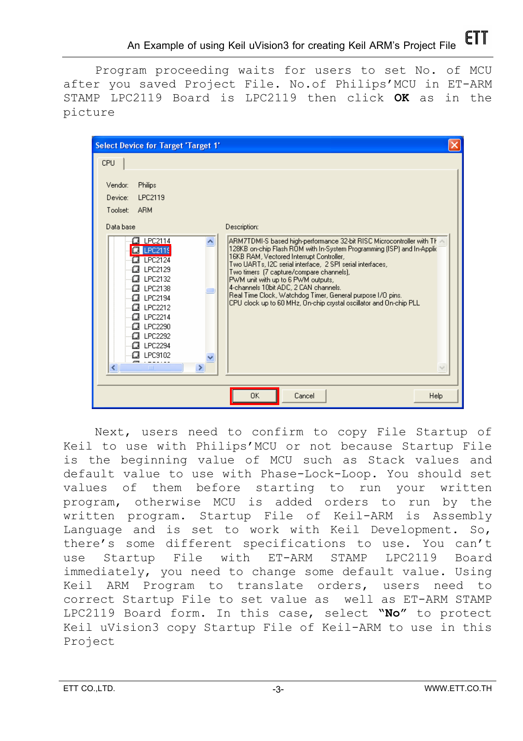Program proceeding waits for users to set No. of MCU after you saved Project File. No.of Philips'MCU in ET-ARM STAMP LPC2119 Board is LPC2119 then click **OK** as in the picture

| <b>Select Device for Target 'Target 1'</b>                                                                                                                                                              |                                                                                                                                                                                                                                                                                                                                                                                                                                                                                                                         |  |
|---------------------------------------------------------------------------------------------------------------------------------------------------------------------------------------------------------|-------------------------------------------------------------------------------------------------------------------------------------------------------------------------------------------------------------------------------------------------------------------------------------------------------------------------------------------------------------------------------------------------------------------------------------------------------------------------------------------------------------------------|--|
| CPU<br>Vendor:<br>Philips<br>LPC2119<br>Device:<br><b>ARM</b><br>Toolset:<br>Data base                                                                                                                  | Description:                                                                                                                                                                                                                                                                                                                                                                                                                                                                                                            |  |
| CJ LPC2114<br>LPC2119<br>LPC2124<br>LPC2129<br>LPC2132<br>LPC2138<br>C.<br>LPC2194<br><i>C</i> 】LPC2212<br>C∄ LPC2214<br>LPC2290<br>a<br>LPC2292<br>LPC2294<br>LPC9102<br>CЗ<br>amu<br><b>TITL</b><br>⊁ | ARM7TDMI-S based high-performance 32-bit RISC Microcontroller with Th<br>128KB on-chip Flash ROM with In-System Programming (ISP) and In-Applic<br>16KB RAM, Vectored Interrupt Controller,<br>Two UARTs, I2C serial interface, 2 SPI serial interfaces,<br>Two timers (7 capture/compare channels),<br>PWM unit with up to 6 PWM outputs,<br>4-channels 10bit ADC, 2 CAN channels.<br>Real Time Clock, Watchdog Timer, General purpose I/O pins.<br>CPU clock up to 60 MHz, On-chip crystal oscillator and On-chip PLL |  |
|                                                                                                                                                                                                         | <b>OK</b><br>Cancel<br>Help                                                                                                                                                                                                                                                                                                                                                                                                                                                                                             |  |

Next, users need to confirm to copy File Startup of Keil to use with Philips'MCU or not because Startup File is the beginning value of MCU such as Stack values and default value to use with Phase-Lock-Loop. You should set values of them before starting to run your written program, otherwise MCU is added orders to run by the written program. Startup File of Keil-ARM is Assembly Language and is set to work with Keil Development. So, there's some different specifications to use. You can't use Startup File with ET-ARM STAMP LPC2119 Board immediately, you need to change some default value. Using Keil ARM Program to translate orders, users need to correct Startup File to set value as well as ET-ARM STAMP LPC2119 Board form. In this case, select **"No"** to protect Keil uVision3 copy Startup File of Keil-ARM to use in this Project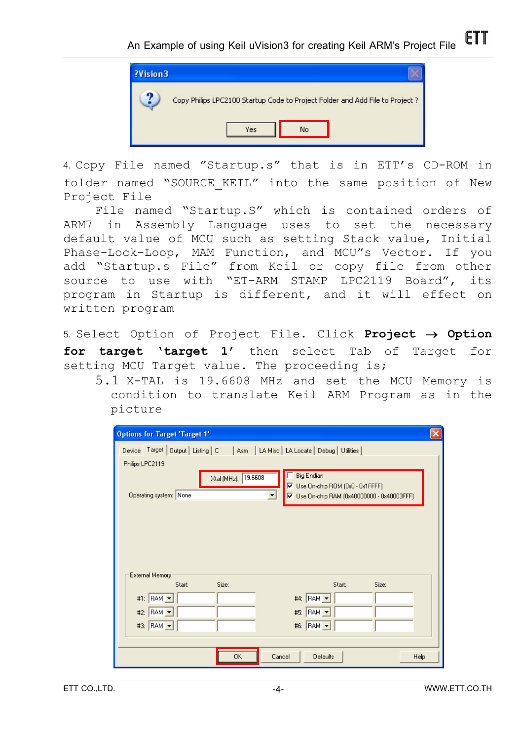

4. Copy File named "Startup.s" that is in ETT's CD-ROM in folder named "SOURCE KEIL" into the same position of New Project File

File named "Startup.S" which is contained orders of ARM7 in Assembly Language uses to set the necessary default value of MCU such as setting Stack value, Initial Phase-Lock-Loop, MAM Function, and MCU"s Vector. If you add "Startup.s File" from Keil or copy file from other source to use with "ET-ARM STAMP LPC2119 Board", its program in Startup is different, and it will effect on written program

5. Select Option of Project File. Click **Project** → **Option for target 'target 1'** then select Tab of Target for setting MCU Target value. The proceeding is;

5.1 X-TAL is 19.6608 MHz and set the MCU Memory is condition to translate Keil ARM Program as in the picture

| <b>Options for Target 'Target 1'</b>                                                                                     |
|--------------------------------------------------------------------------------------------------------------------------|
| Device Target   Output   Listing   C   Asm   LA Misc   LA Locate   Debug   Utilities                                     |
| Philips LPC2119                                                                                                          |
| <b>Big Endian</b><br>Xtal (MHz): 19.6608                                                                                 |
| $\overline{M}$ Use On-chip ROM (0x0 - 0x1 FFFF)<br>Operating system: None<br>V Use On-chip RAM (0x40000000 - 0x40003FFF) |
|                                                                                                                          |
|                                                                                                                          |
|                                                                                                                          |
|                                                                                                                          |
|                                                                                                                          |
| External Memory                                                                                                          |
| Size:<br>Start:<br>Size:<br>Start:                                                                                       |
| #4: $\begin{vmatrix} 6A & -1 \\ -1 & 1 \end{vmatrix}$<br>RAM $\rightarrow$<br>#1:                                        |
| #5: RAM -<br>RAM -<br>#2:                                                                                                |
| #6: RAM -<br>$BAM \rightarrow$<br>#3:                                                                                    |
|                                                                                                                          |
| 0K<br>Cancel<br><b>Defaults</b><br>Help                                                                                  |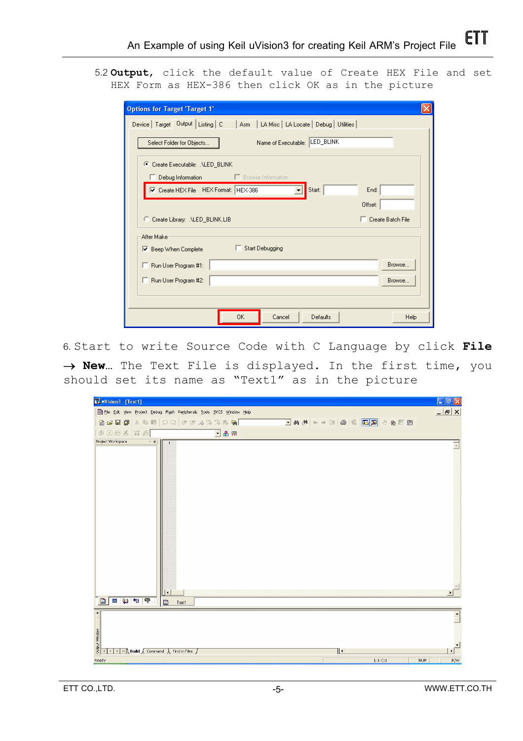5.2 **Output**, click the default value of Create HEX File and set HEX Form as HEX-386 then click OK as in the picture

| <b>Options for Target 'Target 1'</b>                                                                 |                          |
|------------------------------------------------------------------------------------------------------|--------------------------|
| Device   Target   Output   Listing   C<br>Asm   LA Misc   LA Locate   Debug   Utilities              |                          |
| Name of Executable: LED_BLINK<br>Select Folder for Objects                                           |                          |
| C Create Executable: . VLED_BLINK<br>$\Box$ Debug Information<br><b>Example 1</b> Browse Information |                          |
| <b>▽</b> Create HEX File HEX Format: HEX-386<br>Start:<br>End:                                       |                          |
| Offset:                                                                                              |                          |
| C Create Library: .NLED_BLINK.LIB                                                                    | $\Box$ Create Batch File |
| After Make                                                                                           |                          |
| Start Debugging<br><b>▽</b> Beep When Complete                                                       |                          |
| Run User Program #1:                                                                                 | Browse                   |
| Run User Program #2:                                                                                 | Browse                   |
|                                                                                                      |                          |
|                                                                                                      |                          |

6. Start to write Source Code with C Language by click **File**  → **New…** The Text File is displayed. In the first time, you should set its name as "Text1" as in the picture

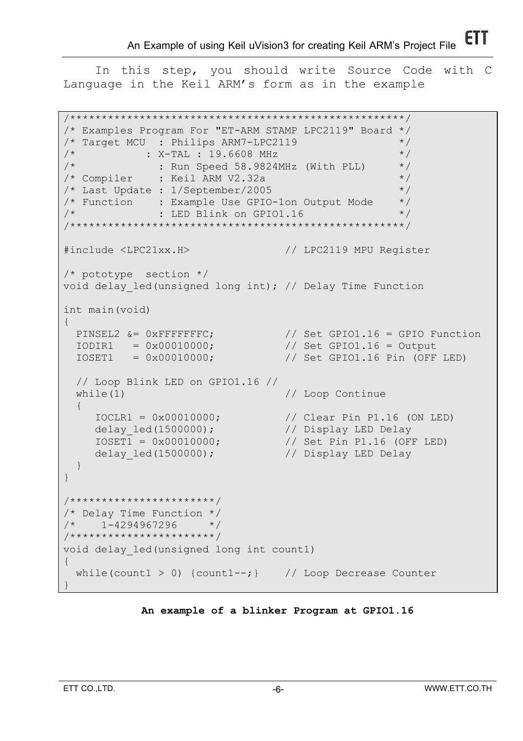In this step, you should write Source Code with C Language in the Keil ARM's form as in the example

```
/*****************************************************/ 
/* Examples Program For "ET-ARM STAMP LPC2119" Board */ 
/* Target MCU : Philips ARM7-LPC2119 */ 
\frac{1}{x} : X-TAL : 19.6608 MHz \frac{1}{x}\frac{1}{x} : Run Speed 58.9824MHz (With PLL) \frac{x}{x}/* Compiler : Keil ARM V2.32a */
/* Last Update : 1/September/2005 */
/* Function : Example Use GPIO-1on Output Mode */ 
\frac{1}{2} \star \cdot \cdot \cdot LED Blink on GPIO1.16 \cdot \cdot \cdot \cdot/*****************************************************/ 
#include <LPC21xx.H> // LPC2119 MPU Register 
/* pototype section */ 
void delay_led(unsigned long int); // Delay Time Function 
int main(void) 
{ 
PINSEL2 &= 0xFFFFFFFC; \frac{1}{16} Set GPIO1.16 = GPIO Function
IODIR1 = 0x00010000; // Set GPIO1.16 = Output
 IOSET1 = 0x00010000; // Set GPIO1.16 Pin (OFF LED) 
   // Loop Blink LED on GPIO1.16 // 
  while(1) \frac{1}{2} // Loop Continue
  \left\{ \right.IOCLRI Pin P1.16 (ON LED)<br>IOCLRI Display LED Delay
     IOCLR1 = 0x00010000;<br>delay_led(1500000);<br>IOSET1 = 0x00010000;\frac{1}{2} \frac{1}{2} \frac{1}{2} \frac{1}{2} \frac{1}{2} \frac{1}{2} \frac{1}{2} \frac{1}{2} \frac{1}{2} \frac{1}{2} \frac{1}{2} \frac{1}{2} \frac{1}{2} \frac{1}{2} \frac{1}{2} \frac{1}{2} \frac{1}{2} \frac{1}{2} \frac{1}{2} \frac{1}{2} \frac{1}{2} \frac{1}{2} delay led(1500000); // Display LED Delay } 
} 
/***********************/ 
/* Delay Time Function */ 
/* 1-4294967296 */
/***********************/ 
void delay_led(unsigned long int count1) 
{ 
  while(count1 > 0) {count1 --; } // Loop Decrease Counter
}
```
#### **An example of a blinker Program at GPIO1.16**

FTT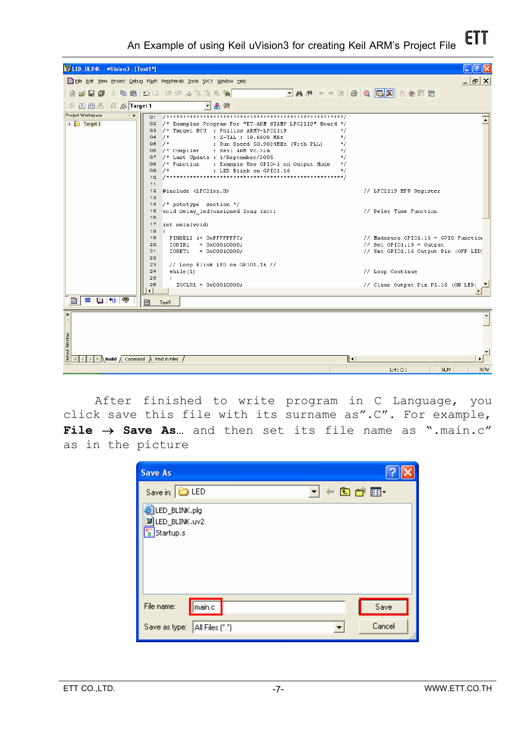VALED\_BLINK - wVision3 - [Text1\*] دالهال  $-|E| \times$ El File Edit View Project Debug Flash Peripherals Tools SVCS Window Help 省房目副为电脑 22 年年人为为购用  $\Box \text{A} \text{A} \text{B} \text{C} \text{C} \text{C} \text{C} \text{D} \text{C} \text{D} \text{C} \text{D} \text{C} \text{A} \rightarrow \text{A} \text{A} \text{A} \text{C} \text{D} \text{C} \text{A} \text{D} \text{C} \text{D} \text{C} \text{D} \text{C} \text{D} \text{C} \text{D} \text{C} \text{D} \text{C} \text{D} \text{C} \text{D} \text{C} \text{D} \text{C} \text{D} \text{C} \text{D} \text{C} \$ ▼品需 Project Workspace  $\overline{\phantom{a}}$ Target 1 02 /\* Examples Program For "ET-ARM STAMP LPC2119" Board \*/ 03 /\* Target MCU : Philips ARM7-LPC2119  $\star/$  $04 / *$ : X-TAL : 19.6608 MHz<br>: Run Speed 58.9824MHz (With PLL)  $\star/$  $05 / t$  $\overline{z}$  $\mathbf{06}$  $7*$  Compiler : Keil ARM V2.32a  $\frac{1}{2}$ 07 /\* Last Update : 1/September/2005<br>08 /\* Function : Example Use GPIO-1 on Output Mode  $\star$  /  $\pi$ : LED Blink on GPIO1.16 **Q9**  $7*$  $10$  $11$ 12 #include <LPC21xx.H> // LPC2119 MPU Register  $13$ 14  $/*$  pototype section  $*/$  $15$ void delay\_led(unsigned long int); // Delay Time Function  $16$  $17$ int main (void)  $18$ PINSEL2 &= OxFFFFFFFC; // Makesure GPIO1.16 = GPIO Function 19 20  $100IR1 = 0x00010000;$ <br> $105ET1 = 0x00010000;$ // Set  $GPI01.16 = Output$  $\frac{21}{22}$ // Set GPIO1.16 Output Pin (OFF LED)

FTI **An Example of using Keil uVision3 for creating Keil ARM's Project File** 

 $\begin{array}{l|l|l} \hline \mathbf{3} & \mathbf{1} & \mathbf{1} & \mathbf{1} \\ \hline \mathbf{3} & \mathbf{1} & \mathbf{1} & \mathbf{1} \\ \hline \mathbf{4} & \mathbf{1} & \mathbf{1} & \mathbf{1} \\ \hline \end{array} \text{Build } \begin{array}{l} \mathbf{1} & \mathbf{1} & \mathbf{1} & \mathbf{1} \\ \mathbf{2} & \mathbf{1} & \mathbf{1} & \mathbf{1} \\ \hline \end{array}$  $|| \cdot ||$  $1:41 \; C:1$ NUM<sup>1</sup> R<sub>N</sub> After finished to write program in C Language, you click save this file with its surname as".C". For example,

// Loop Continue

// Clear Output Pin P1.16 (ON LED)

 $\mathbf{r}$ 

 $\overline{\mathsf{F}}$ 

**File** → **Save As…** and then set its file name as ".main.c" as in the picture

| <b>Save As</b>                                                   |        |
|------------------------------------------------------------------|--------|
| $\underline{\mathbf{v}}$ + b $\mathbf{c}^*$ by<br>Save in: C LED |        |
| LED_BLINK.plg<br><b>D</b> LED_BLINK.uv2<br>s Startup.s           |        |
| main.c<br>File name:                                             | Save   |
| Save as type:<br>All Files (*.*)                                 | Cancel |

 $23$ 

 $^{24}$ 

25

 $26$ 

目

window

 $while (1)$ 

X

Text1

// Loop Blink LED on GPI01.16 //

 $IOCLR1 = 0x00010000;$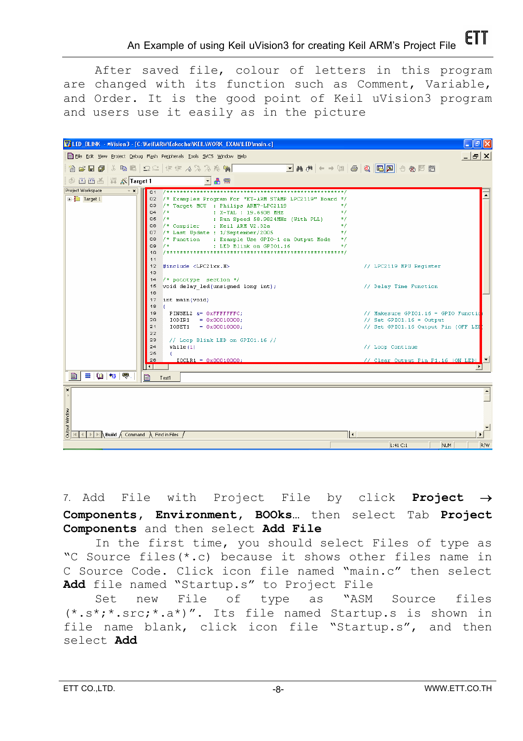After saved file, colour of letters in this program are changed with its function such as Comment, Variable, and Order. It is the good point of Keil uVision3 program and users use it easily as in the picture



7. Add File with Project File by click **Project** → **Components, Environment, BOOks…** then select Tab **Project Components** and then select **Add File**

In the first time, you should select Files of type as "C Source files(\*.c) because it shows other files name in C Source Code. Click icon file named "main.c" then select **Add** file named "Startup.s" to Project File

Set new File of type as "ASM Source files  $(*.s*,.*.src;*,a*)$ ". Its file named Startup.s is shown in file name blank, click icon file "Startup.s", and then select **Add**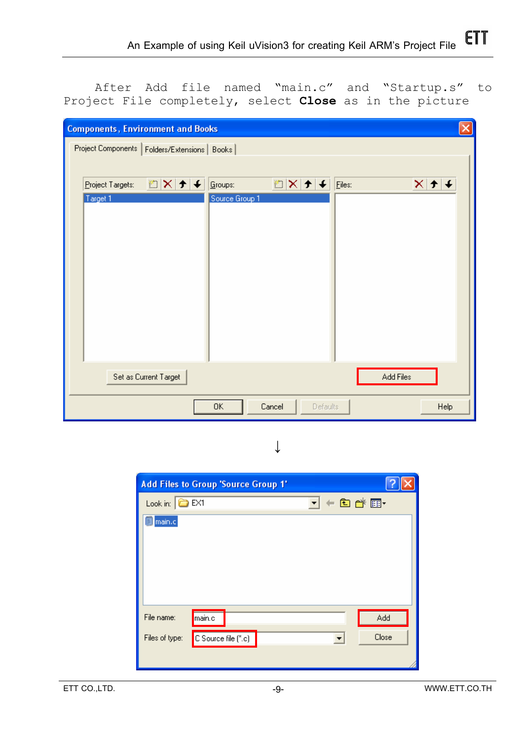After Add file named "main.c" and "Startup.s" to Project File completely, select **Close** as in the picture

| <b>Components, Environment and Books</b>        | ×                                                                    |
|-------------------------------------------------|----------------------------------------------------------------------|
| Project Components   Folders/Extensions   Books |                                                                      |
|                                                 |                                                                      |
| 图×[チ]∔ <br>Project Targets:                     | у X ⊁ +<br>Eiles:<br>$\boldsymbol{\times}$<br>Groups:<br>$\mathbf r$ |
| Target 1                                        | Source Group 1                                                       |
|                                                 |                                                                      |
|                                                 |                                                                      |
|                                                 |                                                                      |
|                                                 |                                                                      |
|                                                 |                                                                      |
|                                                 |                                                                      |
|                                                 |                                                                      |
|                                                 |                                                                      |
|                                                 |                                                                      |
| Set as Current Target                           | Add Files                                                            |
|                                                 | 0K<br>Cancel<br>Defaults<br><b>Help</b>                              |

↓

| <b>Add Files to Group 'Source Group 1'</b> |       |
|--------------------------------------------|-------|
| Look in: $\boxed{\bigcirc}$ EX1<br>▾       | ←由び囲・ |
| 圓 main.c                                   |       |
|                                            |       |
|                                            |       |
|                                            |       |
|                                            |       |
| File name:<br>main.c                       | Add   |
| C Source file (*.c)<br>Files of type:      | Close |
|                                            |       |
|                                            |       |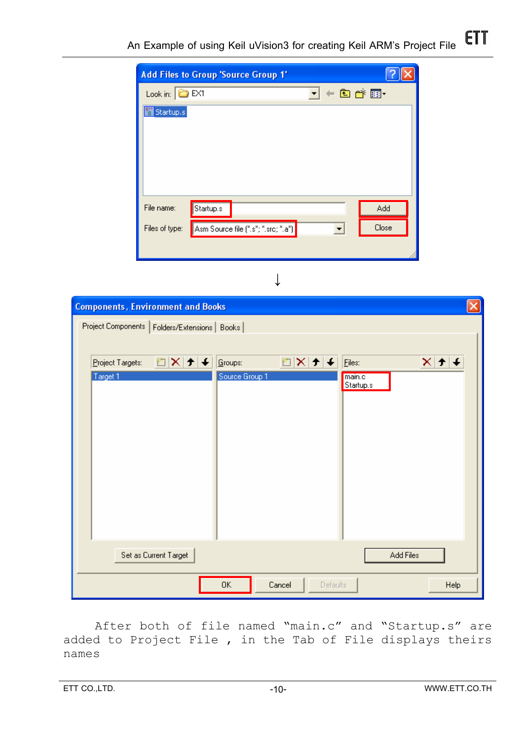| <b>Add Files to Group 'Source Group 1'</b>            |       |
|-------------------------------------------------------|-------|
| ▼←自び囲<br>Look in: $\bigcirc$ EX1                      |       |
| Startup.s<br>is.                                      |       |
|                                                       |       |
|                                                       |       |
|                                                       |       |
|                                                       |       |
| File name:<br>Startup.s                               | Add   |
| Asm Source file (".s"; ".src; ".a")<br>Files of type: | Close |
|                                                       |       |

| t<br>Ņ |  |
|--------|--|
|        |  |

| <b>Components, Environment and Books</b>        |                                         |                                     |
|-------------------------------------------------|-----------------------------------------|-------------------------------------|
| Project Components   Folders/Extensions   Books |                                         |                                     |
| DX++<br>Project Targets:                        | MX + +<br>$\sqrt{\underline{G}}$ roups: | $ \mathbf{x} \mathbf{y} $<br>Eiles: |
| Target 1                                        | Source Group 1                          | main.c<br>Startup.s                 |
|                                                 |                                         |                                     |
|                                                 |                                         |                                     |
|                                                 |                                         |                                     |
|                                                 |                                         |                                     |
|                                                 |                                         |                                     |
| Set as Current Target                           |                                         | Add Files                           |
|                                                 | 0K<br>Cancel<br><b>Defaults</b>         | Help                                |

After both of file named "main.c" and "Startup.s" are added to Project File , in the Tab of File displays theirs names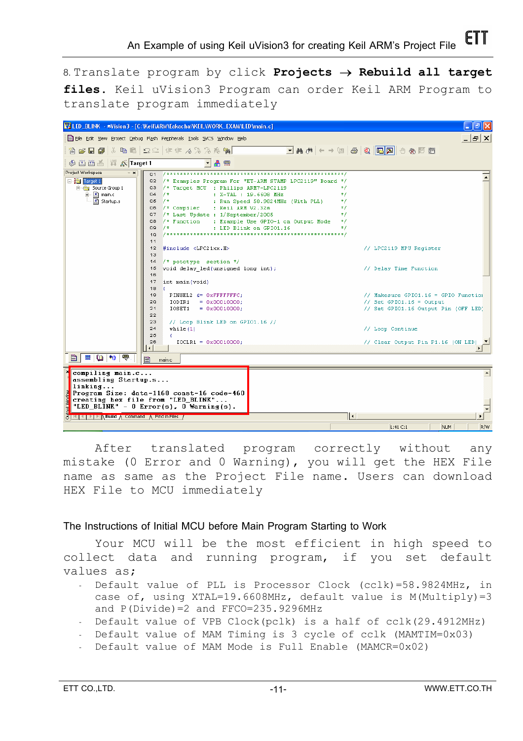8. Translate program by click **Projects** → **Rebuild all target files**. Keil uVision3 Program can order Keil ARM Program to translate program immediately

|                                                     | V/LED_BLINK - wVision3 - [C:Weil\ARM\Eakachai\KEIL\WORK_EXAM\LED\main.c] | σ                                                                                                                                                                                                                           |
|-----------------------------------------------------|--------------------------------------------------------------------------|-----------------------------------------------------------------------------------------------------------------------------------------------------------------------------------------------------------------------------|
|                                                     | File Edit View Project Debug Flash Peripherals Tools SVCS Window Help    | 15   X                                                                                                                                                                                                                      |
| $\approx$ . $\blacksquare$                          | る 嘔 嘔   Ω Ω   律 事 る% % % 廃                                               | $\boxed{\blacksquare} \mathbb{M} \oplus \mathbb{O} \mid \boxed{\blacksquare} \boxtimes \mid \boxplus \mid \boxplus \mid \boxplus \mid \boxplus \mid \text{A} \ \blacktriangleright \mid \text{A} \ \text{A} \ \blacksquare$ |
| 圖圖画   譯 太 Target 1                                  | 晶靈                                                                       |                                                                                                                                                                                                                             |
| Project Workspace<br>$\mathbf{v}$ $\mathbf{x}$      |                                                                          |                                                                                                                                                                                                                             |
| Financet 1                                          | 02 /* Examples Program For "ET-ARM STAMP LPC2119" Board */               |                                                                                                                                                                                                                             |
| 白 Source Group 1                                    | 03 /* Target MCU : Philips ARM7-LPC2119                                  | */                                                                                                                                                                                                                          |
| 由 R main.c                                          | $04 / \pi$<br>: $X-TAL$ : 19.6608 MHz                                    | $\star$ /                                                                                                                                                                                                                   |
| 图 Startup.s                                         | 05<br>$7*$<br>: Run Speed 58.9824MHz (With PLL)                          | $\pi$                                                                                                                                                                                                                       |
|                                                     | /* Compiler<br>: Keil ARM V2.32a<br>Q6                                   | $\star$ /                                                                                                                                                                                                                   |
|                                                     | 07 /* Last Update : 1/September/2005                                     | $\star$ /                                                                                                                                                                                                                   |
|                                                     | /* Function : Example Use GPIO-1 on Output Mode<br>Q8                    | $\pi/$                                                                                                                                                                                                                      |
|                                                     | $1^{\star}$<br>Q9<br>: LED Blink on GPIO1.16                             | $\star$ /                                                                                                                                                                                                                   |
|                                                     | 10                                                                       |                                                                                                                                                                                                                             |
|                                                     | 11                                                                       |                                                                                                                                                                                                                             |
|                                                     | 12 #include <lpc21xx.h></lpc21xx.h>                                      | // LPC2119 MPU Register                                                                                                                                                                                                     |
|                                                     | 13                                                                       |                                                                                                                                                                                                                             |
|                                                     | $\frac{1}{2}$ pototype section $\frac{1}{2}$<br>14                       |                                                                                                                                                                                                                             |
|                                                     | 15 void delay led (unsigned long int);<br>16                             | // Delay Time Function                                                                                                                                                                                                      |
|                                                     | 17                                                                       |                                                                                                                                                                                                                             |
|                                                     | int main (void)<br>18<br>- 1                                             |                                                                                                                                                                                                                             |
|                                                     | 19<br>PINSEL2 &= OXFFFFFFFC:                                             | // Makesure GPIO1.16 = GPIO Function                                                                                                                                                                                        |
|                                                     | 20<br>IODIR1<br>$= 0x00010000;$                                          | // Set GPI01.16 = Output                                                                                                                                                                                                    |
|                                                     | 21<br>IOSET1<br>$= 0x00010000;$                                          | // Set GPIO1.16 Output Pin (OFF LED)                                                                                                                                                                                        |
|                                                     | 22                                                                       |                                                                                                                                                                                                                             |
|                                                     | 23<br>// Loop Blink LED on GPIO1.16 //                                   |                                                                                                                                                                                                                             |
|                                                     | 24<br>while (1)                                                          | // Loop Continue                                                                                                                                                                                                            |
|                                                     | 25<br>X.                                                                 |                                                                                                                                                                                                                             |
|                                                     | 26<br>$IOCLR1 = 0x00010000;$                                             | // Clear Output Pin P1.16 (ON LED)                                                                                                                                                                                          |
|                                                     | $\blacksquare$                                                           |                                                                                                                                                                                                                             |
| $\mathbf{E} \mathbf{u} \mathbf{v}$<br>B.            | 目<br>main.c                                                              |                                                                                                                                                                                                                             |
|                                                     |                                                                          |                                                                                                                                                                                                                             |
| compiling main.c                                    |                                                                          |                                                                                                                                                                                                                             |
| assembling Startup.s                                |                                                                          |                                                                                                                                                                                                                             |
| linking                                             |                                                                          |                                                                                                                                                                                                                             |
|                                                     | Program Size: data=1168 const=16 code=460                                |                                                                                                                                                                                                                             |
|                                                     | creating hex file from "LED_BLINK"                                       |                                                                                                                                                                                                                             |
|                                                     | "LED BLINK" - $0$ Error(s), $0$ Warning(s).                              |                                                                                                                                                                                                                             |
| <b>SHRIPIPIPIN Bund A Command A Find in Files /</b> |                                                                          | ⊪⊷                                                                                                                                                                                                                          |
|                                                     |                                                                          | R/W<br>$L:41 \text{ C}:1$<br>NUM                                                                                                                                                                                            |

After translated program correctly without any mistake (0 Error and 0 Warning), you will get the HEX File name as same as the Project File name. Users can download HEX File to MCU immediately

### **The Instructions of Initial MCU before Main Program Starting to Work**

Your MCU will be the most efficient in high speed to collect data and running program, if you set default values as;

- Default value of PLL is Processor Clock (cclk)=58.9824MHz, in case of, using XTAL=19.6608MHz, default value is M(Multiply)=3 and P(Divide)=2 and FFCO=235.9296MHz
- Default value of VPB Clock(pclk) is a half of cclk(29.4912MHz)
- Default value of MAM Timing is 3 cycle of cclk (MAMTIM=0x03)
- Default value of MAM Mode is Full Enable (MAMCR=0x02)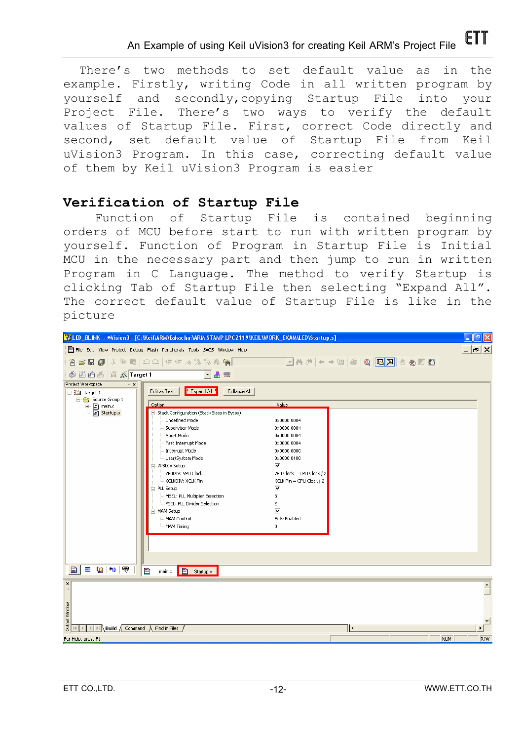There's two methods to set default value as in the example. Firstly, writing Code in all written program by yourself and secondly,copying Startup File into your Project File. There's two ways to verify the default values of Startup File. First, correct Code directly and second, set default value of Startup File from Keil uVision3 Program. In this case, correcting default value of them by Keil uVision3 Program is easier

# **Verification of Startup File**

Function of Startup File is contained beginning orders of MCU before start to run with written program by yourself. Function of Program in Startup File is Initial MCU in the necessary part and then jump to run in written Program in C Language. The method to verify Startup is clicking Tab of Startup File then selecting "Expand All". The correct default value of Startup File is like in the picture

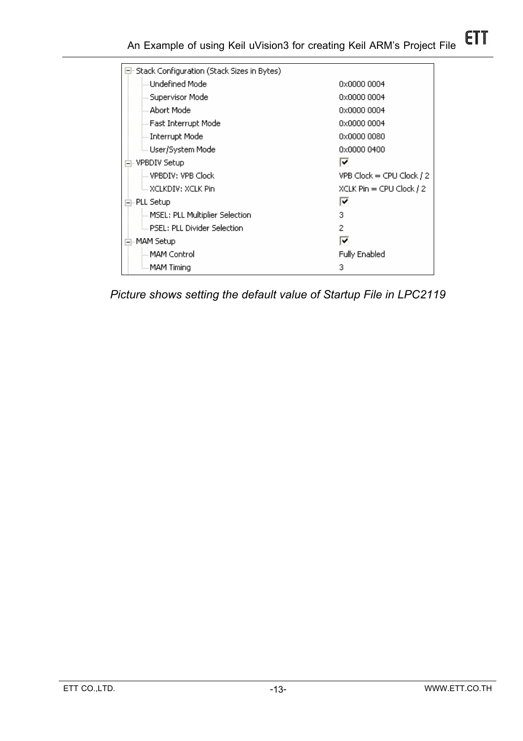### **ETT An Example of using Keil uVision3 for creating Keil ARM's Project File**

| 曰: Stack Configuration (Stack Sizes in Bytes). |                              |
|------------------------------------------------|------------------------------|
| illu Undefined Model                           | 0x0000 0004                  |
| — Supervisor Model                             | 0x0000 0004                  |
| i Abort Model                                  | 0x0000 0004                  |
| — Fast Interrupt Model                         | 0x0000 0004                  |
| — Interrupt Model                              | 0x0000 0080                  |
| ≒ User/System Model                            | 0x0000 0400                  |
| <b>VPBDIV Setup</b>                            | ⊽                            |
| ill VPBDIV: VPB Clock                          | $VPB$ Clock = CPU Clock $/2$ |
| i XCLKDIV: XCLK Pin                            | XCLK Pin = CPU Clock / 2     |
| 白- PLL Setup.                                  | ⊽                            |
| MSEL: PLL Multiplier Selection                 | 3                            |
| i PSEL: PLL Divider Selection.                 | 2                            |
| MAM Setup                                      | ᢦ                            |
| i MAM Controll                                 | <b>Fully Enabled</b>         |
| illi MAM Timina                                | 3                            |

*Picture shows setting the default value of Startup File in LPC2119*